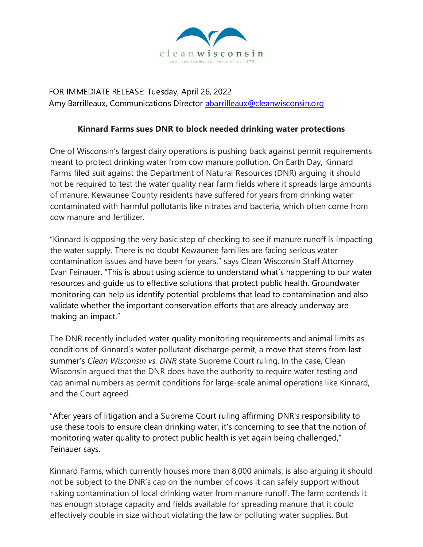

FOR IMMEDIATE RELEASE: Tuesday, April 26, 2022 Amy Barrilleaux, Communications Director abarrilleaux@cleanwisconsin.org

## **Kinnard Farms sues DNR to block needed drinking water protections**

One of Wisconsin's largest dairy operations is pushing back against permit requirements meant to protect drinking water from cow manure pollution. On Earth Day, Kinnard Farms filed suit against the Department of Natural Resources (DNR) arguing it should not be required to test the water quality near farm fields where it spreads large amounts of manure. Kewaunee County residents have suffered for years from drinking water contaminated with harmful pollutants like nitrates and bacteria, which often come from cow manure and fertilizer.

"Kinnard is opposing the very basic step of checking to see if manure runoff is impacting the water supply. There is no doubt Kewaunee families are facing serious water contamination issues and have been for years," says Clean Wisconsin Staff Attorney Evan Feinauer. "This is about using science to understand what's happening to our water resources and guide us to effective solutions that protect public health. Groundwater monitoring can help us identify potential problems that lead to contamination and also validate whether the important conservation efforts that are already underway are making an impact."

The DNR recently included water quality monitoring requirements and animal limits as conditions of Kinnard's water pollutant discharge permit, a move that stems from last summer's *Clean Wisconsin vs. DNR* state Supreme Court ruling. In the case, Clean Wisconsin argued that the DNR does have the authority to require water testing and cap animal numbers as permit conditions for large-scale animal operations like Kinnard, and the Court agreed.

"After years of litigation and a Supreme Court ruling affirming DNR's responsibility to use these tools to ensure clean drinking water, it's concerning to see that the notion of monitoring water quality to protect public health is yet again being challenged," Feinauer says.

Kinnard Farms, which currently houses more than 8,000 animals, is also arguing it should not be subject to the DNR's cap on the number of cows it can safely support without risking contamination of local drinking water from manure runoff. The farm contends it has enough storage capacity and fields available for spreading manure that it could effectively double in size without violating the law or polluting water supplies. But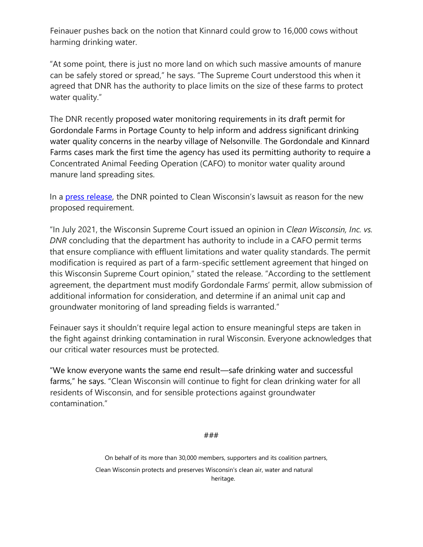Feinauer pushes back on the notion that Kinnard could grow to 16,000 cows without harming drinking water.

"At some point, there is just no more land on which such massive amounts of manure can be safely stored or spread," he says. "The Supreme Court understood this when it agreed that DNR has the authority to place limits on the size of these farms to protect water quality."

The DNR recently proposed water monitoring requirements in its draft permit for Gordondale Farms in Portage County to help inform and address significant drinking water quality concerns in the nearby village of Nelsonville. The Gordondale and Kinnard Farms cases mark the first time the agency has used its permitting authority to require a Concentrated Animal Feeding Operation (CAFO) to monitor water quality around manure land spreading sites.

In a [press release](https://dnr.wisconsin.gov/newsroom/release/55966), the DNR pointed to Clean Wisconsin's lawsuit as reason for the new proposed requirement.

"In July 2021, the Wisconsin Supreme Court issued an opinion in *Clean Wisconsin, Inc. vs. DNR* concluding that the department has authority to include in a CAFO permit terms that ensure compliance with effluent limitations and water quality standards. The permit modification is required as part of a farm-specific settlement agreement that hinged on this Wisconsin Supreme Court opinion," stated the release. "According to the settlement agreement, the department must modify Gordondale Farms' permit, allow submission of additional information for consideration, and determine if an animal unit cap and groundwater monitoring of land spreading fields is warranted."

Feinauer says it shouldn't require legal action to ensure meaningful steps are taken in the fight against drinking contamination in rural Wisconsin. Everyone acknowledges that our critical water resources must be protected.

"We know everyone wants the same end result—safe drinking water and successful farms," he says. "Clean Wisconsin will continue to fight for clean drinking water for all residents of Wisconsin, and for sensible protections against groundwater contamination."

###

On behalf of its more than 30,000 members, supporters and its coalition partners, Clean Wisconsin protects and preserves Wisconsin's clean air, water and natural heritage.